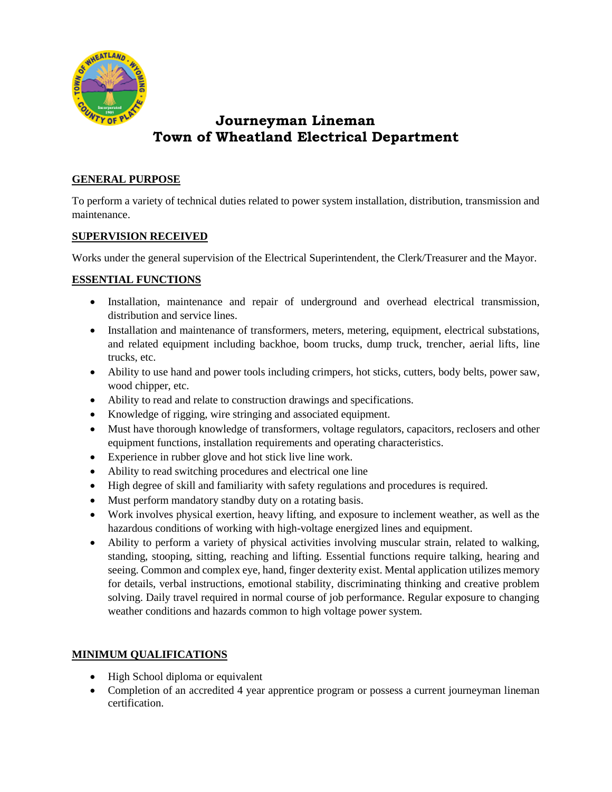

# **Journeyman Lineman Town of Wheatland Electrical Department**

## **GENERAL PURPOSE**

To perform a variety of technical duties related to power system installation, distribution, transmission and maintenance.

## **SUPERVISION RECEIVED**

Works under the general supervision of the Electrical Superintendent, the Clerk/Treasurer and the Mayor.

## **ESSENTIAL FUNCTIONS**

- Installation, maintenance and repair of underground and overhead electrical transmission, distribution and service lines.
- Installation and maintenance of transformers, meters, metering, equipment, electrical substations, and related equipment including backhoe, boom trucks, dump truck, trencher, aerial lifts, line trucks, etc.
- Ability to use hand and power tools including crimpers, hot sticks, cutters, body belts, power saw, wood chipper, etc.
- Ability to read and relate to construction drawings and specifications.
- Knowledge of rigging, wire stringing and associated equipment.
- Must have thorough knowledge of transformers, voltage regulators, capacitors, reclosers and other equipment functions, installation requirements and operating characteristics.
- Experience in rubber glove and hot stick live line work.
- Ability to read switching procedures and electrical one line
- High degree of skill and familiarity with safety regulations and procedures is required.
- Must perform mandatory standby duty on a rotating basis.
- Work involves physical exertion, heavy lifting, and exposure to inclement weather, as well as the hazardous conditions of working with high-voltage energized lines and equipment.
- Ability to perform a variety of physical activities involving muscular strain, related to walking, standing, stooping, sitting, reaching and lifting. Essential functions require talking, hearing and seeing. Common and complex eye, hand, finger dexterity exist. Mental application utilizes memory for details, verbal instructions, emotional stability, discriminating thinking and creative problem solving. Daily travel required in normal course of job performance. Regular exposure to changing weather conditions and hazards common to high voltage power system.

## **MINIMUM QUALIFICATIONS**

- High School diploma or equivalent
- Completion of an accredited 4 year apprentice program or possess a current journeyman lineman certification.